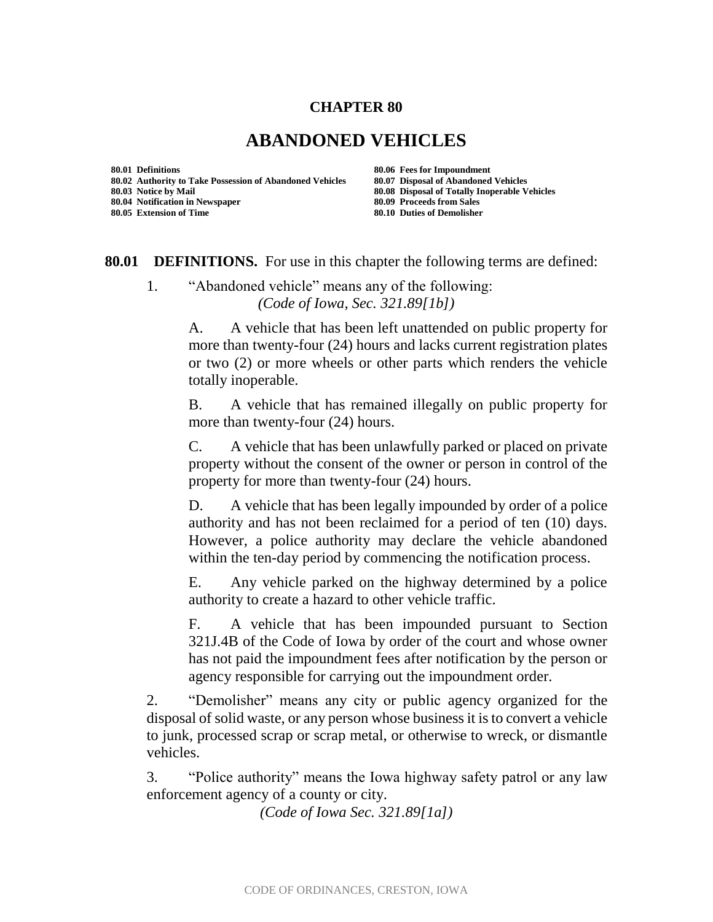## **CHAPTER 80**

## **ABANDONED VEHICLES**

**80.01 Definitions 80.06 Fees for Impoundment 80.02 Authority to Take Possession of Abandoned Vehicles 80.07 Disposal of Abandoned Vehicles 80.04 Notification in Newspaper 80.09 Proceeds from Sales**

**80.08 Disposal of Totally Inoperable Vehicles 80.05 Extension of Time 80.10 Duties of Demolisher**

**80.01 DEFINITIONS.** For use in this chapter the following terms are defined:

1. "Abandoned vehicle" means any of the following: *(Code of Iowa, Sec. 321.89[1b])*

> A. A vehicle that has been left unattended on public property for more than twenty-four (24) hours and lacks current registration plates or two (2) or more wheels or other parts which renders the vehicle totally inoperable.

> B. A vehicle that has remained illegally on public property for more than twenty-four (24) hours.

> C. A vehicle that has been unlawfully parked or placed on private property without the consent of the owner or person in control of the property for more than twenty-four (24) hours.

> D. A vehicle that has been legally impounded by order of a police authority and has not been reclaimed for a period of ten (10) days. However, a police authority may declare the vehicle abandoned within the ten-day period by commencing the notification process.

> E. Any vehicle parked on the highway determined by a police authority to create a hazard to other vehicle traffic.

> F. A vehicle that has been impounded pursuant to Section 321J.4B of the Code of Iowa by order of the court and whose owner has not paid the impoundment fees after notification by the person or agency responsible for carrying out the impoundment order.

2. "Demolisher" means any city or public agency organized for the disposal of solid waste, or any person whose business it is to convert a vehicle to junk, processed scrap or scrap metal, or otherwise to wreck, or dismantle vehicles.

3. "Police authority" means the Iowa highway safety patrol or any law enforcement agency of a county or city.

*(Code of Iowa Sec. 321.89[1a])*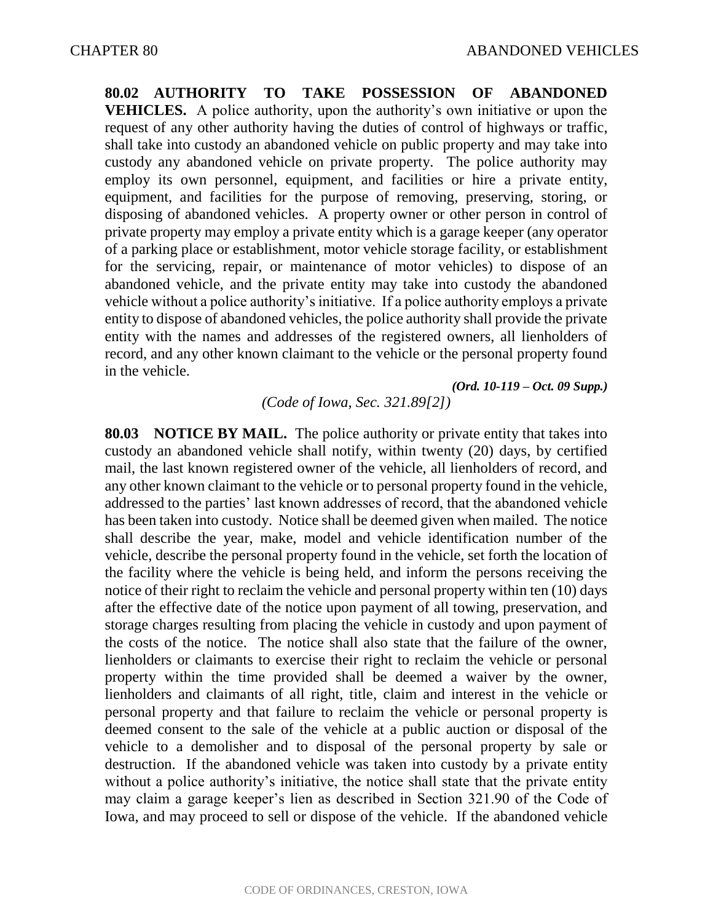**80.02 AUTHORITY TO TAKE POSSESSION OF ABANDONED VEHICLES.** A police authority, upon the authority's own initiative or upon the request of any other authority having the duties of control of highways or traffic, shall take into custody an abandoned vehicle on public property and may take into custody any abandoned vehicle on private property. The police authority may employ its own personnel, equipment, and facilities or hire a private entity, equipment, and facilities for the purpose of removing, preserving, storing, or disposing of abandoned vehicles. A property owner or other person in control of private property may employ a private entity which is a garage keeper (any operator of a parking place or establishment, motor vehicle storage facility, or establishment for the servicing, repair, or maintenance of motor vehicles) to dispose of an abandoned vehicle, and the private entity may take into custody the abandoned vehicle without a police authority's initiative. If a police authority employs a private entity to dispose of abandoned vehicles, the police authority shall provide the private entity with the names and addresses of the registered owners, all lienholders of record, and any other known claimant to the vehicle or the personal property found in the vehicle.

*(Ord. 10-119 – Oct. 09 Supp.)*

*(Code of Iowa, Sec. 321.89[2])*

**80.03 NOTICE BY MAIL.** The police authority or private entity that takes into custody an abandoned vehicle shall notify, within twenty (20) days, by certified mail, the last known registered owner of the vehicle, all lienholders of record, and any other known claimant to the vehicle or to personal property found in the vehicle, addressed to the parties' last known addresses of record, that the abandoned vehicle has been taken into custody. Notice shall be deemed given when mailed. The notice shall describe the year, make, model and vehicle identification number of the vehicle, describe the personal property found in the vehicle, set forth the location of the facility where the vehicle is being held, and inform the persons receiving the notice of their right to reclaim the vehicle and personal property within ten (10) days after the effective date of the notice upon payment of all towing, preservation, and storage charges resulting from placing the vehicle in custody and upon payment of the costs of the notice. The notice shall also state that the failure of the owner, lienholders or claimants to exercise their right to reclaim the vehicle or personal property within the time provided shall be deemed a waiver by the owner, lienholders and claimants of all right, title, claim and interest in the vehicle or personal property and that failure to reclaim the vehicle or personal property is deemed consent to the sale of the vehicle at a public auction or disposal of the vehicle to a demolisher and to disposal of the personal property by sale or destruction. If the abandoned vehicle was taken into custody by a private entity without a police authority's initiative, the notice shall state that the private entity may claim a garage keeper's lien as described in Section 321.90 of the Code of Iowa, and may proceed to sell or dispose of the vehicle. If the abandoned vehicle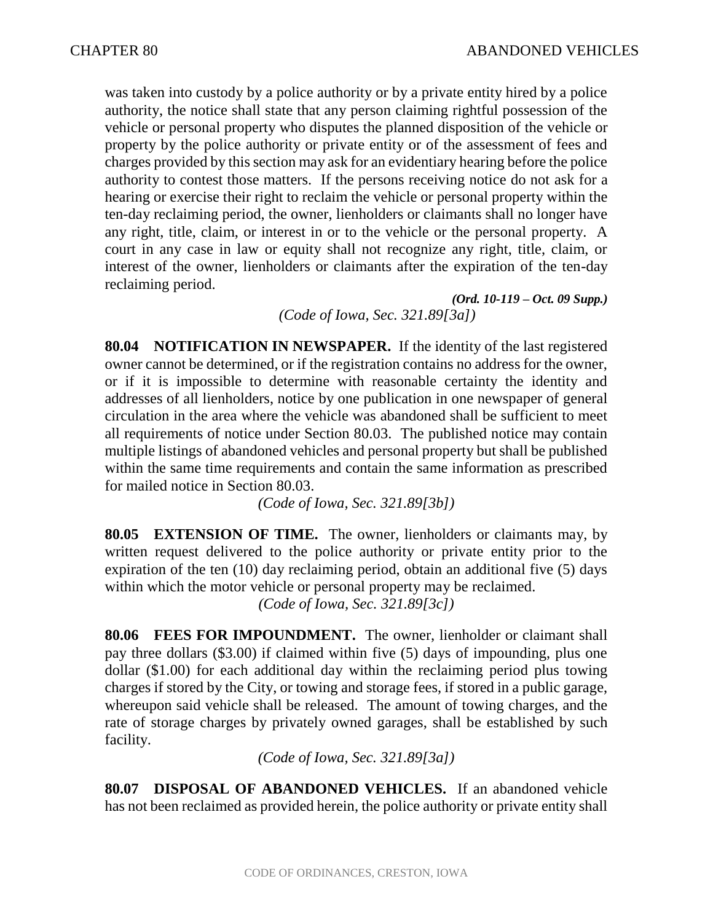was taken into custody by a police authority or by a private entity hired by a police authority, the notice shall state that any person claiming rightful possession of the vehicle or personal property who disputes the planned disposition of the vehicle or property by the police authority or private entity or of the assessment of fees and charges provided by this section may ask for an evidentiary hearing before the police authority to contest those matters. If the persons receiving notice do not ask for a hearing or exercise their right to reclaim the vehicle or personal property within the ten-day reclaiming period, the owner, lienholders or claimants shall no longer have any right, title, claim, or interest in or to the vehicle or the personal property. A court in any case in law or equity shall not recognize any right, title, claim, or interest of the owner, lienholders or claimants after the expiration of the ten-day reclaiming period.

*(Ord. 10-119 – Oct. 09 Supp.) (Code of Iowa, Sec. 321.89[3a])*

**80.04 NOTIFICATION IN NEWSPAPER.** If the identity of the last registered owner cannot be determined, or if the registration contains no address for the owner, or if it is impossible to determine with reasonable certainty the identity and addresses of all lienholders, notice by one publication in one newspaper of general circulation in the area where the vehicle was abandoned shall be sufficient to meet all requirements of notice under Section 80.03. The published notice may contain multiple listings of abandoned vehicles and personal property but shall be published within the same time requirements and contain the same information as prescribed for mailed notice in Section 80.03.

*(Code of Iowa, Sec. 321.89[3b])*

**80.05 EXTENSION OF TIME.** The owner, lienholders or claimants may, by written request delivered to the police authority or private entity prior to the expiration of the ten (10) day reclaiming period, obtain an additional five (5) days within which the motor vehicle or personal property may be reclaimed.

*(Code of Iowa, Sec. 321.89[3c])*

**80.06 FEES FOR IMPOUNDMENT.** The owner, lienholder or claimant shall pay three dollars (\$3.00) if claimed within five (5) days of impounding, plus one dollar (\$1.00) for each additional day within the reclaiming period plus towing charges if stored by the City, or towing and storage fees, if stored in a public garage, whereupon said vehicle shall be released. The amount of towing charges, and the rate of storage charges by privately owned garages, shall be established by such facility.

*(Code of Iowa, Sec. 321.89[3a])*

**80.07 DISPOSAL OF ABANDONED VEHICLES.** If an abandoned vehicle has not been reclaimed as provided herein, the police authority or private entity shall